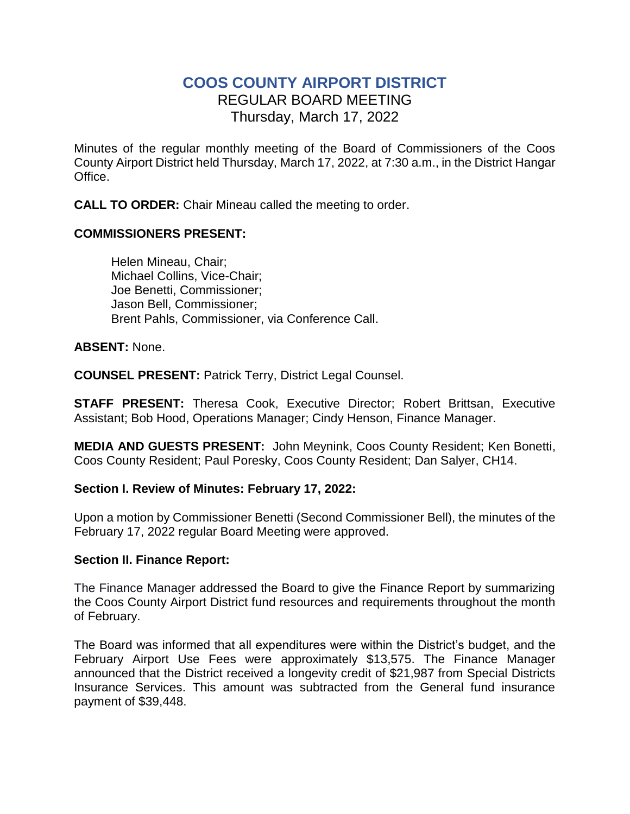# **COOS COUNTY AIRPORT DISTRICT** REGULAR BOARD MEETING Thursday, March 17, 2022

Minutes of the regular monthly meeting of the Board of Commissioners of the Coos County Airport District held Thursday, March 17, 2022, at 7:30 a.m., in the District Hangar Office.

**CALL TO ORDER:** Chair Mineau called the meeting to order.

## **COMMISSIONERS PRESENT:**

Helen Mineau, Chair; Michael Collins, Vice-Chair; Joe Benetti, Commissioner; Jason Bell, Commissioner; Brent Pahls, Commissioner, via Conference Call.

#### **ABSENT:** None.

**COUNSEL PRESENT:** Patrick Terry, District Legal Counsel.

**STAFF PRESENT:** Theresa Cook, Executive Director; Robert Brittsan, Executive Assistant; Bob Hood, Operations Manager; Cindy Henson, Finance Manager.

**MEDIA AND GUESTS PRESENT:** John Meynink, Coos County Resident; Ken Bonetti, Coos County Resident; Paul Poresky, Coos County Resident; Dan Salyer, CH14.

#### **Section I. Review of Minutes: February 17, 2022:**

Upon a motion by Commissioner Benetti (Second Commissioner Bell), the minutes of the February 17, 2022 regular Board Meeting were approved.

#### **Section II. Finance Report:**

The Finance Manager addressed the Board to give the Finance Report by summarizing the Coos County Airport District fund resources and requirements throughout the month of February.

The Board was informed that all expenditures were within the District's budget, and the February Airport Use Fees were approximately \$13,575. The Finance Manager announced that the District received a longevity credit of \$21,987 from Special Districts Insurance Services. This amount was subtracted from the General fund insurance payment of \$39,448.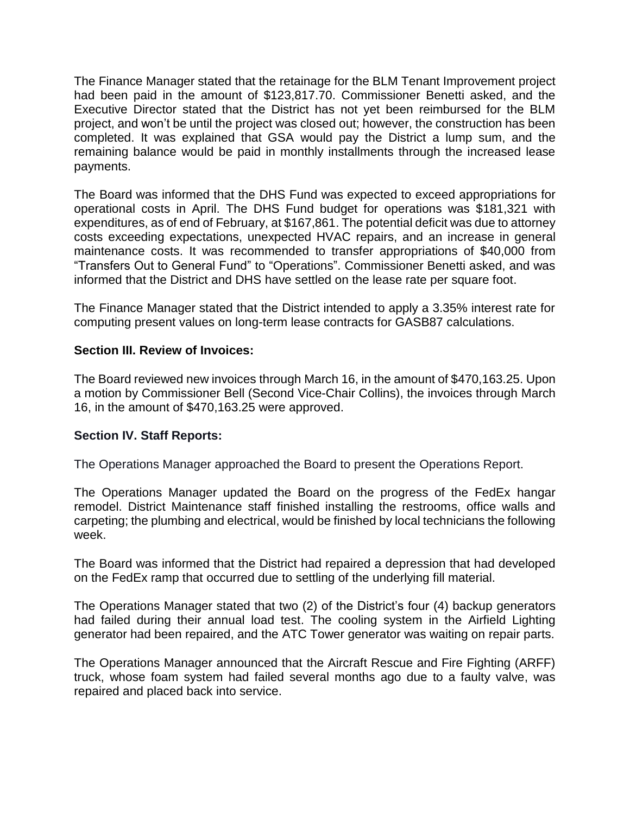The Finance Manager stated that the retainage for the BLM Tenant Improvement project had been paid in the amount of \$123,817.70. Commissioner Benetti asked, and the Executive Director stated that the District has not yet been reimbursed for the BLM project, and won't be until the project was closed out; however, the construction has been completed. It was explained that GSA would pay the District a lump sum, and the remaining balance would be paid in monthly installments through the increased lease payments.

The Board was informed that the DHS Fund was expected to exceed appropriations for operational costs in April. The DHS Fund budget for operations was \$181,321 with expenditures, as of end of February, at \$167,861. The potential deficit was due to attorney costs exceeding expectations, unexpected HVAC repairs, and an increase in general maintenance costs. It was recommended to transfer appropriations of \$40,000 from "Transfers Out to General Fund" to "Operations". Commissioner Benetti asked, and was informed that the District and DHS have settled on the lease rate per square foot.

The Finance Manager stated that the District intended to apply a 3.35% interest rate for computing present values on long-term lease contracts for GASB87 calculations.

### **Section III. Review of Invoices:**

The Board reviewed new invoices through March 16, in the amount of \$470,163.25. Upon a motion by Commissioner Bell (Second Vice-Chair Collins), the invoices through March 16, in the amount of \$470,163.25 were approved.

#### **Section IV. Staff Reports:**

The Operations Manager approached the Board to present the Operations Report.

The Operations Manager updated the Board on the progress of the FedEx hangar remodel. District Maintenance staff finished installing the restrooms, office walls and carpeting; the plumbing and electrical, would be finished by local technicians the following week.

The Board was informed that the District had repaired a depression that had developed on the FedEx ramp that occurred due to settling of the underlying fill material.

The Operations Manager stated that two (2) of the District's four (4) backup generators had failed during their annual load test. The cooling system in the Airfield Lighting generator had been repaired, and the ATC Tower generator was waiting on repair parts.

The Operations Manager announced that the Aircraft Rescue and Fire Fighting (ARFF) truck, whose foam system had failed several months ago due to a faulty valve, was repaired and placed back into service.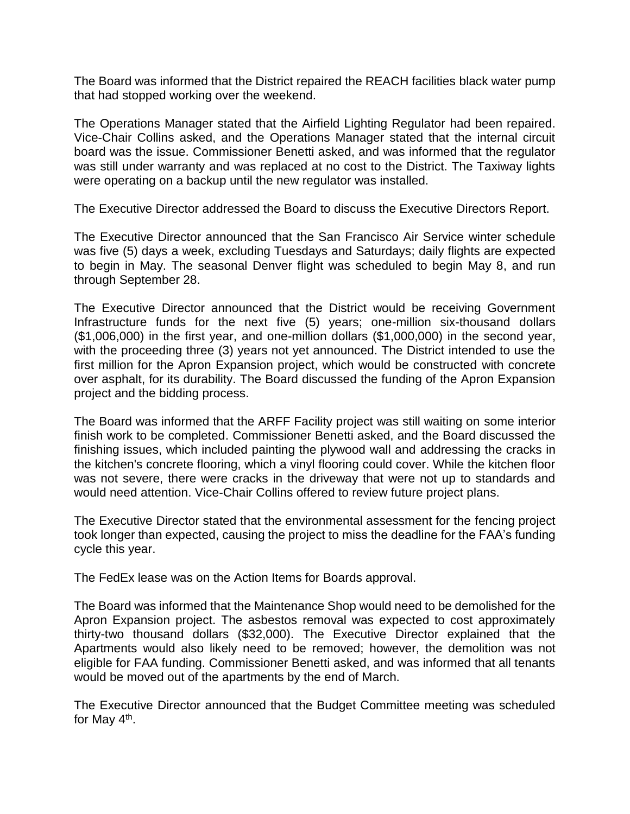The Board was informed that the District repaired the REACH facilities black water pump that had stopped working over the weekend.

The Operations Manager stated that the Airfield Lighting Regulator had been repaired. Vice-Chair Collins asked, and the Operations Manager stated that the internal circuit board was the issue. Commissioner Benetti asked, and was informed that the regulator was still under warranty and was replaced at no cost to the District. The Taxiway lights were operating on a backup until the new regulator was installed.

The Executive Director addressed the Board to discuss the Executive Directors Report.

The Executive Director announced that the San Francisco Air Service winter schedule was five (5) days a week, excluding Tuesdays and Saturdays; daily flights are expected to begin in May. The seasonal Denver flight was scheduled to begin May 8, and run through September 28.

The Executive Director announced that the District would be receiving Government Infrastructure funds for the next five (5) years; one-million six-thousand dollars (\$1,006,000) in the first year, and one-million dollars (\$1,000,000) in the second year, with the proceeding three (3) years not yet announced. The District intended to use the first million for the Apron Expansion project, which would be constructed with concrete over asphalt, for its durability. The Board discussed the funding of the Apron Expansion project and the bidding process.

The Board was informed that the ARFF Facility project was still waiting on some interior finish work to be completed. Commissioner Benetti asked, and the Board discussed the finishing issues, which included painting the plywood wall and addressing the cracks in the kitchen's concrete flooring, which a vinyl flooring could cover. While the kitchen floor was not severe, there were cracks in the driveway that were not up to standards and would need attention. Vice-Chair Collins offered to review future project plans.

The Executive Director stated that the environmental assessment for the fencing project took longer than expected, causing the project to miss the deadline for the FAA's funding cycle this year.

The FedEx lease was on the Action Items for Boards approval.

The Board was informed that the Maintenance Shop would need to be demolished for the Apron Expansion project. The asbestos removal was expected to cost approximately thirty-two thousand dollars (\$32,000). The Executive Director explained that the Apartments would also likely need to be removed; however, the demolition was not eligible for FAA funding. Commissioner Benetti asked, and was informed that all tenants would be moved out of the apartments by the end of March.

The Executive Director announced that the Budget Committee meeting was scheduled for May 4<sup>th</sup>.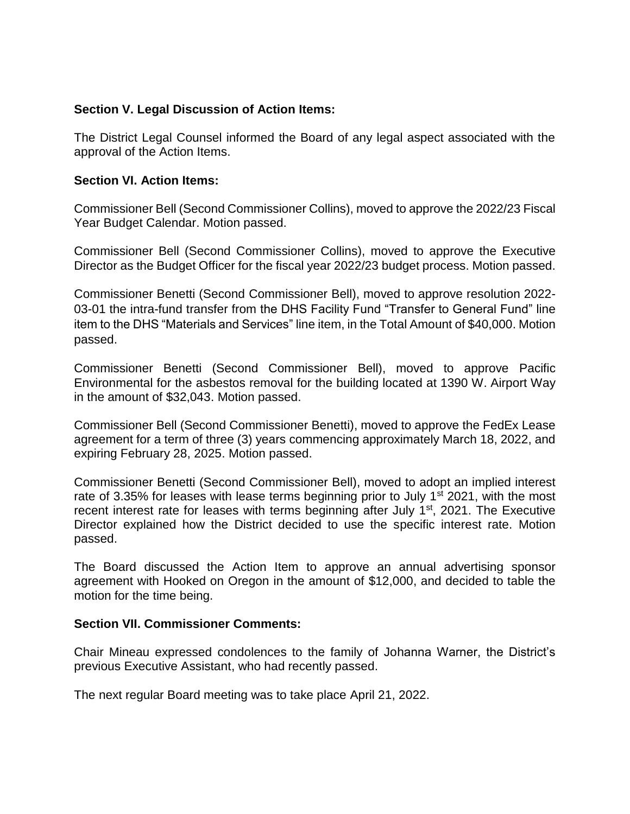#### **Section V. Legal Discussion of Action Items:**

The District Legal Counsel informed the Board of any legal aspect associated with the approval of the Action Items.

#### **Section VI. Action Items:**

Commissioner Bell (Second Commissioner Collins), moved to approve the 2022/23 Fiscal Year Budget Calendar. Motion passed.

Commissioner Bell (Second Commissioner Collins), moved to approve the Executive Director as the Budget Officer for the fiscal year 2022/23 budget process. Motion passed.

Commissioner Benetti (Second Commissioner Bell), moved to approve resolution 2022- 03-01 the intra-fund transfer from the DHS Facility Fund "Transfer to General Fund" line item to the DHS "Materials and Services" line item, in the Total Amount of \$40,000. Motion passed.

Commissioner Benetti (Second Commissioner Bell), moved to approve Pacific Environmental for the asbestos removal for the building located at 1390 W. Airport Way in the amount of \$32,043. Motion passed.

Commissioner Bell (Second Commissioner Benetti), moved to approve the FedEx Lease agreement for a term of three (3) years commencing approximately March 18, 2022, and expiring February 28, 2025. Motion passed.

Commissioner Benetti (Second Commissioner Bell), moved to adopt an implied interest rate of 3.35% for leases with lease terms beginning prior to July 1<sup>st</sup> 2021, with the most recent interest rate for leases with terms beginning after July 1<sup>st</sup>, 2021. The Executive Director explained how the District decided to use the specific interest rate. Motion passed.

The Board discussed the Action Item to approve an annual advertising sponsor agreement with Hooked on Oregon in the amount of \$12,000, and decided to table the motion for the time being.

#### **Section VII. Commissioner Comments:**

Chair Mineau expressed condolences to the family of Johanna Warner, the District's previous Executive Assistant, who had recently passed.

The next regular Board meeting was to take place April 21, 2022.